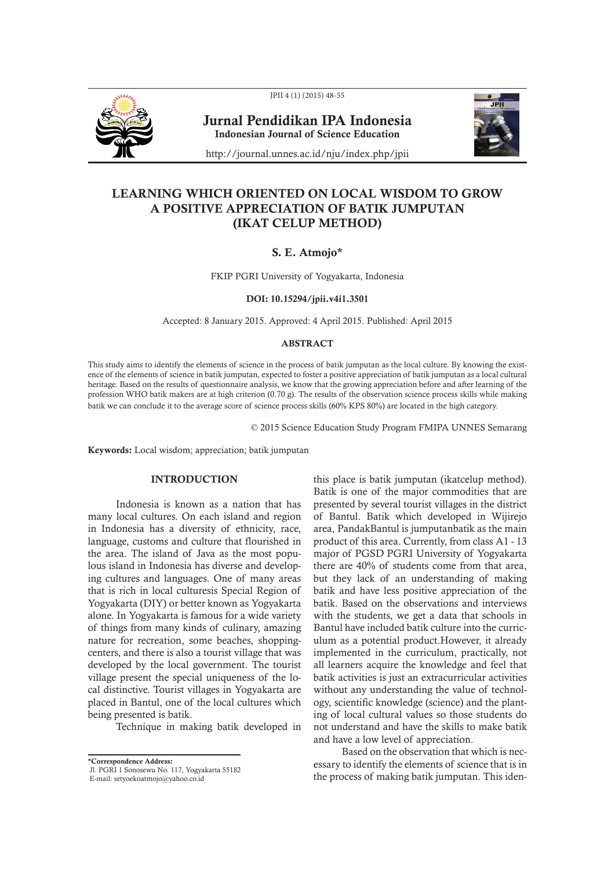

JPII 4 (1) (2015) 48-55

Jurnal Pendidikan IPA Indonesia Indonesian Journal of Science Education



http://journal.unnes.ac.id/nju/index.php/jpii

# LEARNING WHICH ORIENTED ON LOCAL WISDOM TO GROW A POSITIVE APPRECIATION OF BATIK JUMPUTAN (IKAT CELUP METHOD)

## S. E. Atmojo\*

FKIP PGRI University of Yogyakarta, Indonesia

## DOI: 10.15294/jpii.v4i1.3501

Accepted: 8 January 2015. Approved: 4 April 2015. Published: April 2015

# ABSTRACT

This study aims to identify the elements of science in the process of batik jumputan as the local culture. By knowing the existence of the elements of science in batik jumputan, expected to foster a positive appreciation of batik jumputan as a local cultural heritage. Based on the results of questionnaire analysis, we know that the growing appreciation before and after learning of the profession WHO batik makers are at high criterion (0.70 g). The results of the observation science process skills while making batik we can conclude it to the average score of science process skills (60% KPS 80%) are located in the high category.

© 2015 Science Education Study Program FMIPA UNNES Semarang

Keywords: Local wisdom; appreciation; batik jumputan

# **INTRODUCTION**

Indonesia is known as a nation that has many local cultures. On each island and region in Indonesia has a diversity of ethnicity, race, language, customs and culture that flourished in the area. The island of Java as the most populous island in Indonesia has diverse and developing cultures and languages. One of many areas that is rich in local culturesis Special Region of Yogyakarta (DIY) or better known as Yogyakarta alone. In Yogyakarta is famous for a wide variety of things from many kinds of culinary, amazing nature for recreation, some beaches, shoppingcenters, and there is also a tourist village that was developed by the local government. The tourist village present the special uniqueness of the local distinctive. Tourist villages in Yogyakarta are placed in Bantul, one of the local cultures which being presented is batik.

Technique in making batik developed in

\*Correspondence Address:

this place is batik jumputan (ikatcelup method). Batik is one of the major commodities that are presented by several tourist villages in the district of Bantul. Batik which developed in Wijirejo area, PandakBantul is jumputanbatik as the main product of this area. Currently, from class A1 - 13 major of PGSD PGRI University of Yogyakarta there are 40% of students come from that area, but they lack of an understanding of making batik and have less positive appreciation of the batik. Based on the observations and interviews with the students, we get a data that schools in Bantul have included batik culture into the curriculum as a potential product.However, it already implemented in the curriculum, practically, not all learners acquire the knowledge and feel that batik activities is just an extracurricular activities without any understanding the value of technology, scientific knowledge (science) and the planting of local cultural values so those students do not understand and have the skills to make batik and have a low level of appreciation.

Based on the observation that which is necessary to identify the elements of science that is in the process of making batik jumputan. This iden-

Jl. PGRI 1 Sonosewu No. 117, Yogyakarta 55182

E-mail: setyoekoatmojo@yahoo.co.id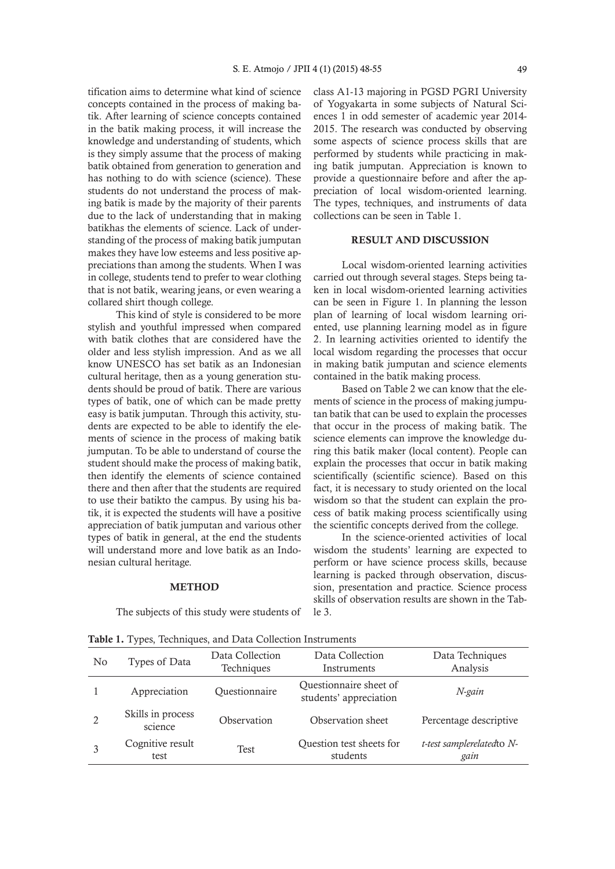tification aims to determine what kind of science concepts contained in the process of making batik. After learning of science concepts contained in the batik making process, it will increase the knowledge and understanding of students, which is they simply assume that the process of making batik obtained from generation to generation and has nothing to do with science (science). These students do not understand the process of making batik is made by the majority of their parents due to the lack of understanding that in making batikhas the elements of science. Lack of understanding of the process of making batik jumputan makes they have low esteems and less positive appreciations than among the students. When I was in college, students tend to prefer to wear clothing that is not batik, wearing jeans, or even wearing a collared shirt though college.

This kind of style is considered to be more stylish and youthful impressed when compared with batik clothes that are considered have the older and less stylish impression. And as we all know UNESCO has set batik as an Indonesian cultural heritage, then as a young generation students should be proud of batik. There are various types of batik, one of which can be made pretty easy is batik jumputan. Through this activity, students are expected to be able to identify the elements of science in the process of making batik jumputan. To be able to understand of course the student should make the process of making batik, then identify the elements of science contained there and then after that the students are required to use their batikto the campus. By using his batik, it is expected the students will have a positive appreciation of batik jumputan and various other types of batik in general, at the end the students will understand more and love batik as an Indonesian cultural heritage.

### **METHOD**

The subjects of this study were students of

class A1-13 majoring in PGSD PGRI University of Yogyakarta in some subjects of Natural Sciences 1 in odd semester of academic year 2014- 2015. The research was conducted by observing some aspects of science process skills that are performed by students while practicing in making batik jumputan. Appreciation is known to provide a questionnaire before and after the appreciation of local wisdom-oriented learning. The types, techniques, and instruments of data collections can be seen in Table 1.

#### RESULT AND DISCUSSION

Local wisdom-oriented learning activities carried out through several stages. Steps being taken in local wisdom-oriented learning activities can be seen in Figure 1. In planning the lesson plan of learning of local wisdom learning oriented, use planning learning model as in figure 2. In learning activities oriented to identify the local wisdom regarding the processes that occur in making batik jumputan and science elements contained in the batik making process.

Based on Table 2 we can know that the elements of science in the process of making jumputan batik that can be used to explain the processes that occur in the process of making batik. The science elements can improve the knowledge during this batik maker (local content). People can explain the processes that occur in batik making scientifically (scientific science). Based on this fact, it is necessary to study oriented on the local wisdom so that the student can explain the process of batik making process scientifically using the scientific concepts derived from the college.

In the science-oriented activities of local wisdom the students' learning are expected to perform or have science process skills, because learning is packed through observation, discussion, presentation and practice. Science process skills of observation results are shown in the Table 3.

| N <sub>0</sub> | Types of Data                | Data Collection<br>Techniques | Data Collection<br>Instruments                   | Data Techniques<br>Analysis        |
|----------------|------------------------------|-------------------------------|--------------------------------------------------|------------------------------------|
|                | Appreciation                 | Questionnaire                 | Questionnaire sheet of<br>students' appreciation | N-gain                             |
|                | Skills in process<br>science | Observation                   | Observation sheet                                | Percentage descriptive             |
|                | Cognitive result<br>test     | <b>Test</b>                   | Question test sheets for<br>students             | t-test samplerelated to N-<br>gain |
|                |                              |                               |                                                  |                                    |

Table 1. Types, Techniques, and Data Collection Instruments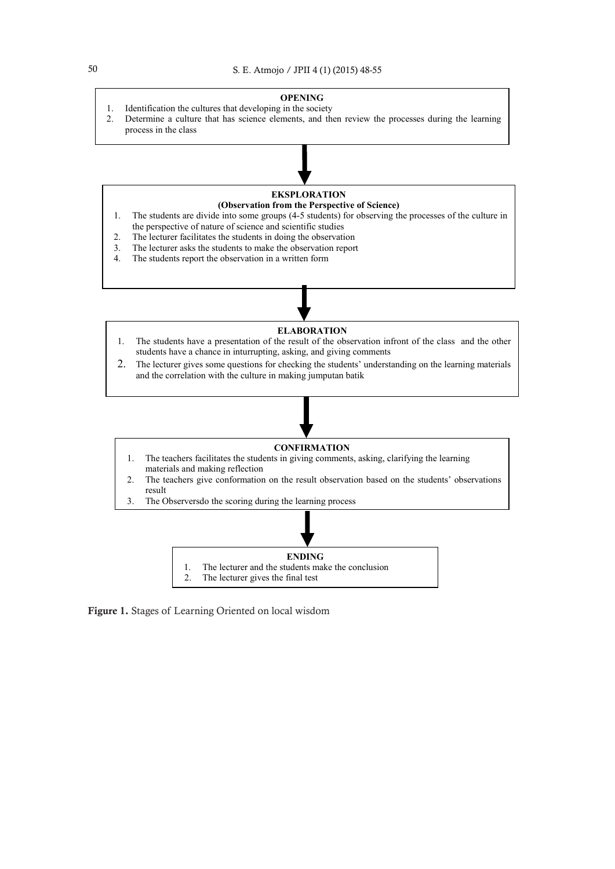

1. The lecturer and the students make the conclusion



Figure 1. Stages of Learning Oriented on local wisdom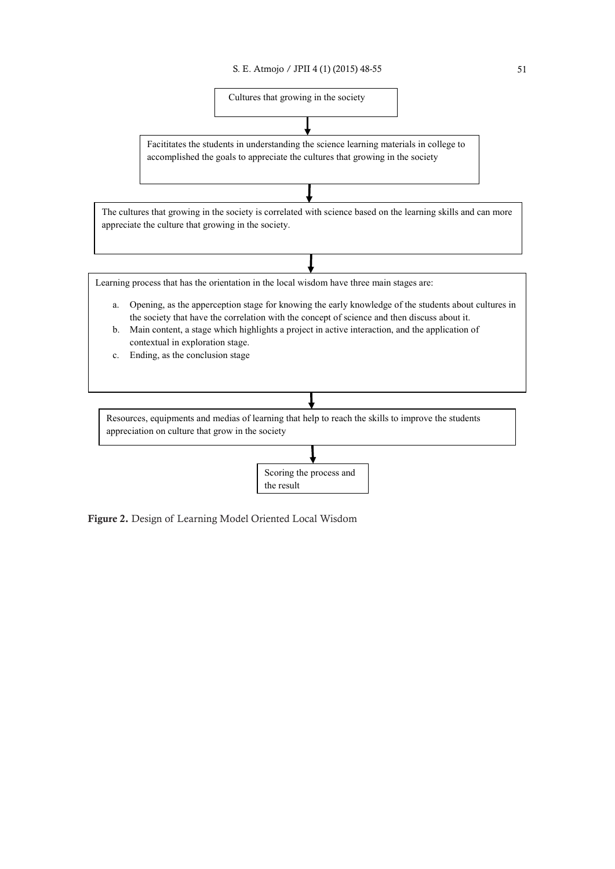

the result

Figure 2. Design of Learning Model Oriented Local Wisdom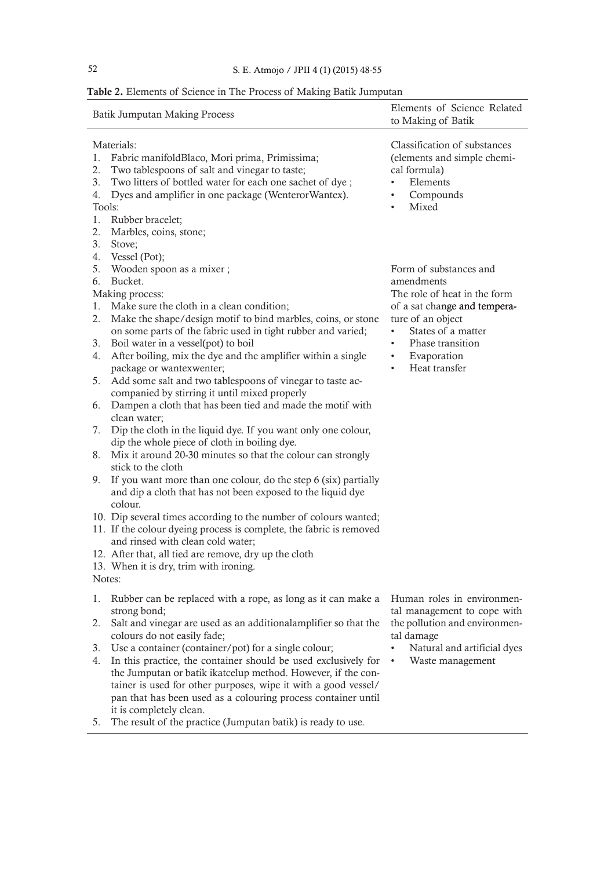# 52 S. E. Atmojo / JPII 4 (1) (2015) 48-55

# Table 2. Elements of Science in The Process of Making Batik Jumputan

|                                      | <b>Batik Jumputan Making Process</b>                                                                                                                                                                                                                | Elements of Science Related<br>to Making of Batik                                                                                        |  |
|--------------------------------------|-----------------------------------------------------------------------------------------------------------------------------------------------------------------------------------------------------------------------------------------------------|------------------------------------------------------------------------------------------------------------------------------------------|--|
| 1.<br>2.<br>3.<br>4.<br>Tools:<br>1. | Materials:<br>Fabric manifoldBlaco, Mori prima, Primissima;<br>Two tablespoons of salt and vinegar to taste;<br>Two litters of bottled water for each one sachet of dye;<br>Dyes and amplifier in one package (WenterorWantex).<br>Rubber bracelet; | Classification of substances<br>(elements and simple chemi-<br>cal formula)<br>Elements<br>Compounds<br>$\bullet$<br>Mixed<br>$\bullet$  |  |
| 2.<br>3.<br>4.<br>5.<br>6.           | Marbles, coins, stone;<br>Stove;<br>Vessel (Pot);<br>Wooden spoon as a mixer;<br>Bucket.                                                                                                                                                            | Form of substances and<br>amendments                                                                                                     |  |
| 1.<br>2.<br>3.                       | Making process:<br>Make sure the cloth in a clean condition;<br>Make the shape/design motif to bind marbles, coins, or stone<br>on some parts of the fabric used in tight rubber and varied;<br>Boil water in a vessel(pot) to boil                 | The role of heat in the form<br>of a sat change and tempera-<br>ture of an object<br>States of a matter<br>Phase transition<br>$\bullet$ |  |
| 4.                                   | After boiling, mix the dye and the amplifier within a single<br>package or wantexwenter;                                                                                                                                                            | Evaporation<br>$\bullet$<br>Heat transfer<br>$\bullet$                                                                                   |  |
| 5.<br>6.                             | Add some salt and two tablespoons of vinegar to taste ac-<br>companied by stirring it until mixed properly<br>Dampen a cloth that has been tied and made the motif with                                                                             |                                                                                                                                          |  |
| 7.                                   | clean water;<br>Dip the cloth in the liquid dye. If you want only one colour,                                                                                                                                                                       |                                                                                                                                          |  |
| 8.                                   | dip the whole piece of cloth in boiling dye.<br>Mix it around 20-30 minutes so that the colour can strongly<br>stick to the cloth                                                                                                                   |                                                                                                                                          |  |
| 9.                                   | If you want more than one colour, do the step 6 (six) partially<br>and dip a cloth that has not been exposed to the liquid dye<br>colour.                                                                                                           |                                                                                                                                          |  |
|                                      | 10. Dip several times according to the number of colours wanted;<br>11. If the colour dyeing process is complete, the fabric is removed<br>and rinsed with clean cold water;                                                                        |                                                                                                                                          |  |
| Notes:                               | 12. After that, all tied are remove, dry up the cloth<br>13. When it is dry, trim with ironing.                                                                                                                                                     |                                                                                                                                          |  |
| 1.                                   | Rubber can be replaced with a rope, as long as it can make a                                                                                                                                                                                        | Human roles in environmen-                                                                                                               |  |
| 2.                                   | strong bond;<br>Salt and vinegar are used as an additional amplifier so that the                                                                                                                                                                    | tal management to cope with<br>the pollution and environmen-                                                                             |  |
| 3.<br>4.                             | colours do not easily fade;<br>Use a container (container/pot) for a single colour;<br>In this practice, the container should be used exclusively for<br>the Jumputan or batik ikatcelup method. However, if the con-                               | tal damage<br>Natural and artificial dyes<br>Waste management                                                                            |  |
|                                      | tainer is used for other purposes, wipe it with a good vessel/<br>pan that has been used as a colouring process container until<br>it is completely clean.                                                                                          |                                                                                                                                          |  |
| 5.                                   | The result of the practice (Jumputan batik) is ready to use.                                                                                                                                                                                        |                                                                                                                                          |  |
|                                      |                                                                                                                                                                                                                                                     |                                                                                                                                          |  |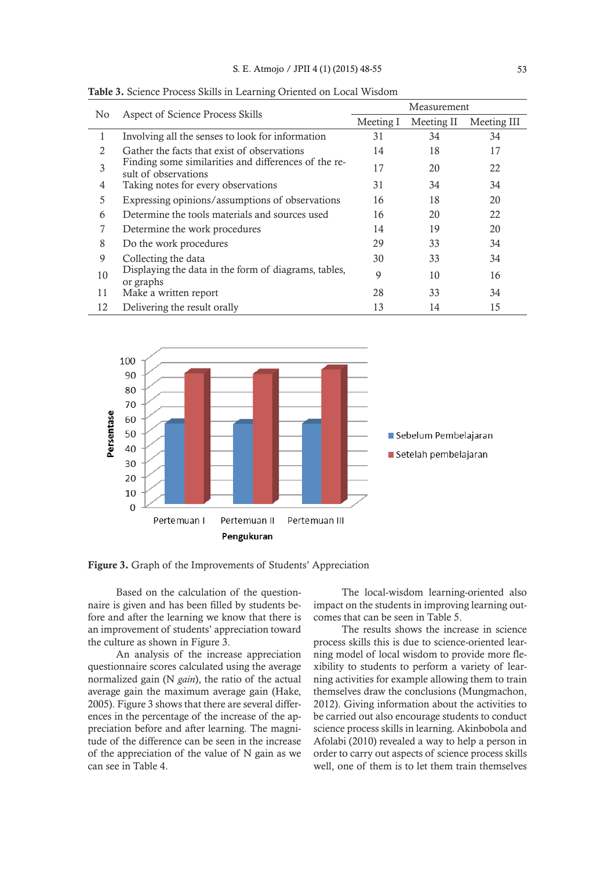Table 3. Science Process Skills in Learning Oriented on Local Wisdom

|                |                                                                              | Measurement |            |             |
|----------------|------------------------------------------------------------------------------|-------------|------------|-------------|
| No             | Aspect of Science Process Skills                                             | Meeting I   | Meeting II | Meeting III |
| 1              | Involving all the senses to look for information                             | 31          | 34         | 34          |
| $\mathfrak{D}$ | Gather the facts that exist of observations                                  | 14          | 18         | 17          |
| 3              | Finding some similarities and differences of the re-<br>sult of observations | 17          | 20         | 22          |
| 4              | Taking notes for every observations                                          | 31          | 34         | 34          |
| 5              | Expressing opinions/assumptions of observations                              | 16          | 18         | 20          |
| 6              | Determine the tools materials and sources used                               | 16          | 20         | 22          |
| 7              | Determine the work procedures                                                | 14          | 19         | 20          |
| 8              | Do the work procedures                                                       | 29          | 33         | 34          |
| 9              | Collecting the data                                                          | 30          | 33         | 34          |
| 10             | Displaying the data in the form of diagrams, tables,<br>or graphs            | 9           | 10         | 16          |
| 11             | Make a written report                                                        | 28          | 33         | 34          |
| 12             | Delivering the result orally                                                 | 13          | 14         | 15          |

100 90 80 70 Persentase 60 50 Sebelum Pembelajaran 40 Setelah pembelajaran 30 20  $10$  $\overline{0}$ Pertemuan II Pertemuan III Pertemuan I Pengukuran

Figure 3. Graph of the Improvements of Students' Appreciation

Based on the calculation of the questionnaire is given and has been filled by students before and after the learning we know that there is an improvement of students' appreciation toward the culture as shown in Figure 3.

An analysis of the increase appreciation questionnaire scores calculated using the average normalized gain (N *gain*), the ratio of the actual average gain the maximum average gain (Hake, 2005). Figure 3 shows that there are several differences in the percentage of the increase of the appreciation before and after learning. The magnitude of the difference can be seen in the increase of the appreciation of the value of N gain as we can see in Table 4.

The local-wisdom learning-oriented also impact on the students in improving learning outcomes that can be seen in Table 5.

The results shows the increase in science process skills this is due to science-oriented learning model of local wisdom to provide more flexibility to students to perform a variety of learning activities for example allowing them to train themselves draw the conclusions (Mungmachon, 2012). Giving information about the activities to be carried out also encourage students to conduct science process skills in learning. Akinbobola and Afolabi (2010) revealed a way to help a person in order to carry out aspects of science process skills well, one of them is to let them train themselves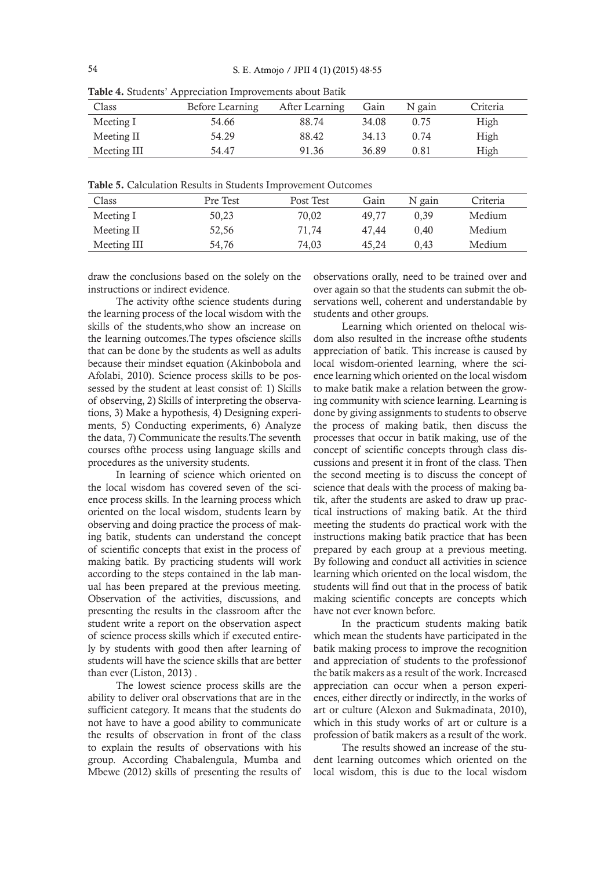| Class       | Before Learning | After Learning | Gain  | N gain | Criteria |
|-------------|-----------------|----------------|-------|--------|----------|
| Meeting I   | 54.66           | 88.74          | 34.08 | 0.75   | High     |
| Meeting II  | 54.29           | 88.42          | 34.13 | 0.74   | High     |
| Meeting III | 54.47           | 91.36          | 36.89 | 0.81   | High     |

Table 4. Students' Appreciation Improvements about Batik

Table 5. Calculation Results in Students Improvement Outcomes

| Class       | Pre Test | Post Test | Gain  | N gain | Criteria |
|-------------|----------|-----------|-------|--------|----------|
| Meeting I   | 50.23    | 70.02     | 49.77 | 0.39   | Medium   |
| Meeting II  | 52,56    | 71.74     | 47.44 | 0.40   | Medium   |
| Meeting III | 54,76    | 74,03     | 45.24 | 0.43   | Medium   |

draw the conclusions based on the solely on the instructions or indirect evidence.

The activity ofthe science students during the learning process of the local wisdom with the skills of the students,who show an increase on the learning outcomes.The types ofscience skills that can be done by the students as well as adults because their mindset equation (Akinbobola and Afolabi, 2010). Science process skills to be possessed by the student at least consist of: 1) Skills of observing, 2) Skills of interpreting the observations, 3) Make a hypothesis, 4) Designing experiments, 5) Conducting experiments, 6) Analyze the data, 7) Communicate the results.The seventh courses ofthe process using language skills and procedures as the university students.

In learning of science which oriented on the local wisdom has covered seven of the science process skills. In the learning process which oriented on the local wisdom, students learn by observing and doing practice the process of making batik, students can understand the concept of scientific concepts that exist in the process of making batik. By practicing students will work according to the steps contained in the lab manual has been prepared at the previous meeting. Observation of the activities, discussions, and presenting the results in the classroom after the student write a report on the observation aspect of science process skills which if executed entirely by students with good then after learning of students will have the science skills that are better than ever (Liston, 2013) .

The lowest science process skills are the ability to deliver oral observations that are in the sufficient category. It means that the students do not have to have a good ability to communicate the results of observation in front of the class to explain the results of observations with his group. According Chabalengula, Mumba and Mbewe (2012) skills of presenting the results of

observations orally, need to be trained over and over again so that the students can submit the observations well, coherent and understandable by students and other groups.

Learning which oriented on thelocal wisdom also resulted in the increase ofthe students appreciation of batik. This increase is caused by local wisdom-oriented learning, where the science learning which oriented on the local wisdom to make batik make a relation between the growing community with science learning. Learning is done by giving assignments to students to observe the process of making batik, then discuss the processes that occur in batik making, use of the concept of scientific concepts through class discussions and present it in front of the class. Then the second meeting is to discuss the concept of science that deals with the process of making batik, after the students are asked to draw up practical instructions of making batik. At the third meeting the students do practical work with the instructions making batik practice that has been prepared by each group at a previous meeting. By following and conduct all activities in science learning which oriented on the local wisdom, the students will find out that in the process of batik making scientific concepts are concepts which have not ever known before.

In the practicum students making batik which mean the students have participated in the batik making process to improve the recognition and appreciation of students to the professionof the batik makers as a result of the work. Increased appreciation can occur when a person experiences, either directly or indirectly, in the works of art or culture (Alexon and Sukmadinata, 2010), which in this study works of art or culture is a profession of batik makers as a result of the work.

The results showed an increase of the student learning outcomes which oriented on the local wisdom, this is due to the local wisdom